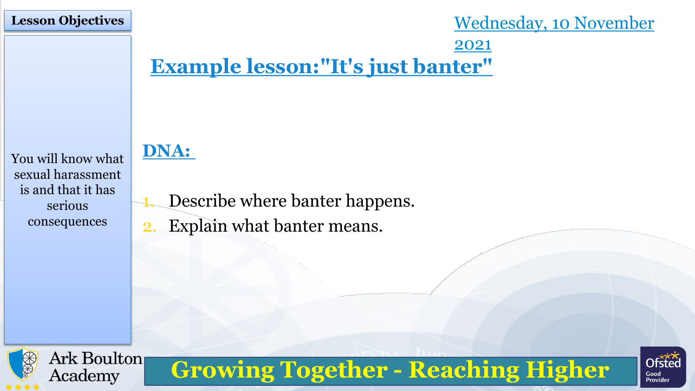### **Lesson Objectives**

Wednesday, 10 November 2021

# **Example lesson:"It's just banter"**

**Growing Together - Reaching Higher**

You will know what sexual harassment is and that it has serious consequences

# **DNA:**

- Describe where banter happens.
- 2. Explain what banter means.



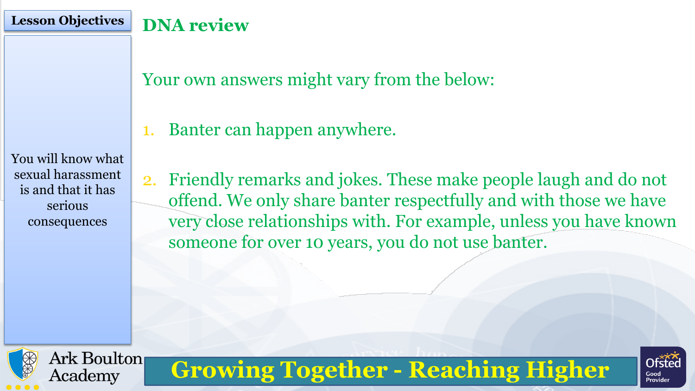## **Lesson Objectives DNA review**

Your own answers might vary from the below:

1. Banter can happen anywhere.

You will know what sexual harassment is and that it has serious consequences

2. Friendly remarks and jokes. These make people laugh and do not offend. We only share banter respectfully and with those we have very close relationships with. For example, unless you have known someone for over 10 years, you do not use banter.



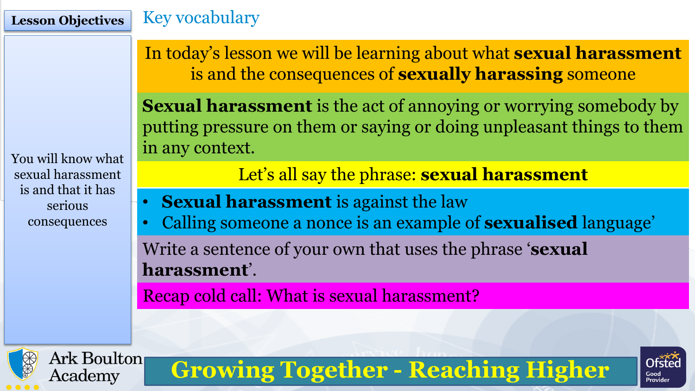You will know what

sexual harassment

is and that it has

serious

consequences

# **Lesson Objectives** Key vocabulary

In today's lesson we will be learning about what **sexual harassment**  is and the consequences of **sexually harassing** someone

**Sexual harassment** is the act of annoying or worrying somebody by putting pressure on them or saying or doing unpleasant things to them in any context.

Let's all say the phrase: **sexual harassment**

- **Sexual harassment** is against the law
- Calling someone a nonce is an example of **sexualised** language' Write a sentence of your own that uses the phrase '**sexual**

**Growing Together - Reaching Higher**

**harassment**'.

Recap cold call: What is sexual harassment?



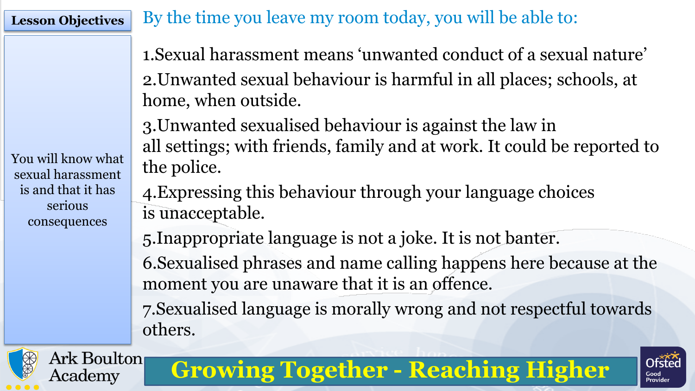You will know what

sexual harassment

is and that it has

serious

consequences

**Lesson Objectives** By the time you leave my room today, you will be able to:

1.Sexual harassment means 'unwanted conduct of a sexual nature' 2.Unwanted sexual behaviour is harmful in all places; schools, at home, when outside.

3.Unwanted sexualised behaviour is against the law in all settings; with friends, family and at work. It could be reported to the police.

4.Expressing this behaviour through your language choices is unacceptable.

5.Inappropriate language is not a joke. It is not banter. 6.Sexualised phrases and name calling happens here because at the moment you are unaware that it is an offence.

7.Sexualised language is morally wrong and not respectful towards others.

**Growing Together - Reaching Higher**



Ark Boulton

Academy

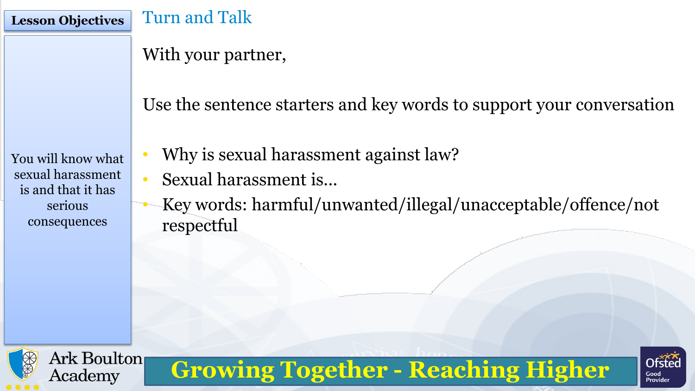### **Lesson Objectives** Turn and Talk

With your partner,

Use the sentence starters and key words to support your conversation

You will know what sexual harassment is and that it has serious consequences

- Why is sexual harassment against law?
- Sexual harassment is...
- Key words: harmful/unwanted/illegal/unacceptable/offence/not respectful



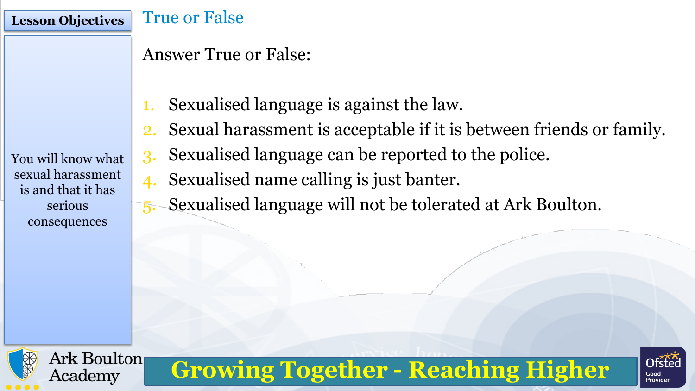### **Lesson Objectives** True or False

## Answer True or False:

- 1. Sexualised language is against the law.
- 2. Sexual harassment is acceptable if it is between friends or family.

You will know what sexual harassment is and that it has serious consequences

- 3. Sexualised language can be reported to the police.
- 4. Sexualised name calling is just banter.
- 5. Sexualised language will not be tolerated at Ark Boulton.



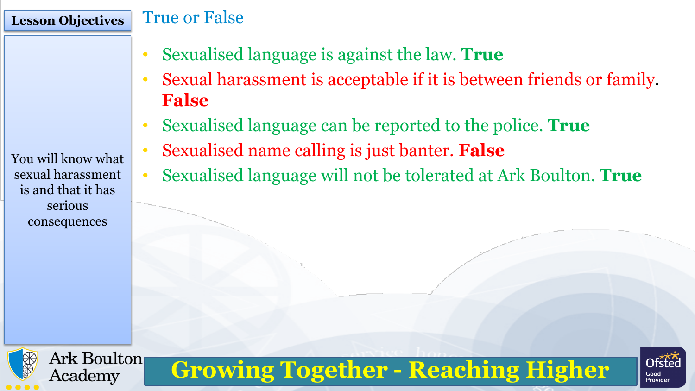### **Lesson Objectives** True or False

- Sexualised language is against the law. **True**
- Sexual harassment is acceptable if it is between friends or family. **False**
- Sexualised language can be reported to the police. **True**
- Sexualised name calling is just banter. **False**
- Sexualised language will not be tolerated at Ark Boulton. **True**

**Growing Together - Reaching Higher**

You will know what sexual harassment is and that it has serious consequences

Ark Boulton

Academy



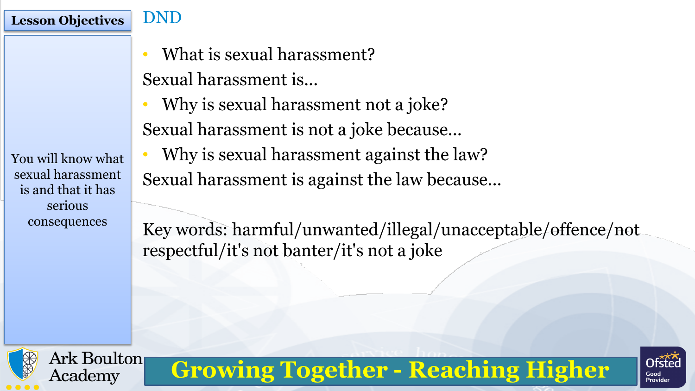You will know what sexual harassment is and that it has serious consequences

Ark Boulton

Academy

**Lesson Objectives** DND

- What is sexual harassment? Sexual harassment is...
- Why is sexual harassment not a joke? Sexual harassment is not a joke because...
- Why is sexual harassment against the law? Sexual harassment is against the law because...

Key words: harmful/unwanted/illegal/unacceptable/offence/not respectful/it's not banter/it's not a joke